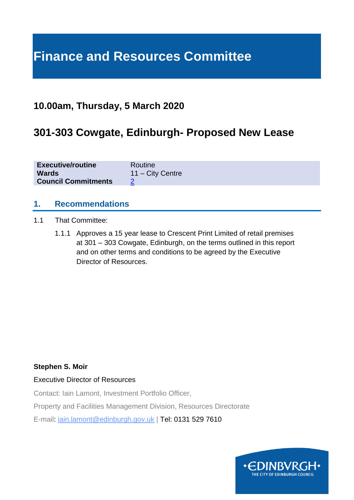# **Finance and Resources Committee**

# **10.00am, Thursday, 5 March 2020**

# **301-303 Cowgate, Edinburgh- Proposed New Lease**

| <b>Executive/routine</b>   | Routine            |
|----------------------------|--------------------|
| <b>Wards</b>               | $11 - City$ Centre |
| <b>Council Commitments</b> |                    |
|                            |                    |

### **1. Recommendations**

- 1.1 That Committee:
	- 1.1.1 Approves a 15 year lease to Crescent Print Limited of retail premises at 301 – 303 Cowgate, Edinburgh, on the terms outlined in this report and on other terms and conditions to be agreed by the Executive Director of Resources.

#### **Stephen S. Moir**

#### Executive Director of Resources

Contact: Iain Lamont, Investment Portfolio Officer,

Property and Facilities Management Division, Resources Directorate

E-mail: iain.lamont@edinburgh.gov.uk | Tel: 0131 529 7610

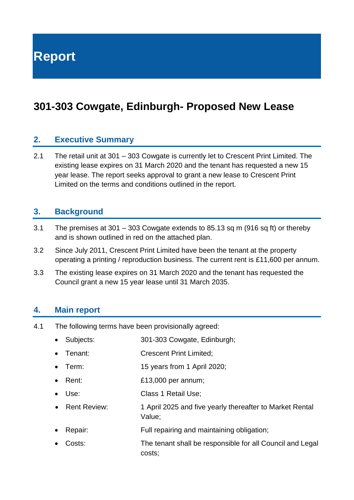**Report**

# **301-303 Cowgate, Edinburgh- Proposed New Lease**

#### **2. Executive Summary**

2.1 The retail unit at 301 – 303 Cowgate is currently let to Crescent Print Limited. The existing lease expires on 31 March 2020 and the tenant has requested a new 15 year lease. The report seeks approval to grant a new lease to Crescent Print Limited on the terms and conditions outlined in the report.

#### **3. Background**

- 3.1 The premises at 301 303 Cowgate extends to 85.13 sq m (916 sq ft) or thereby and is shown outlined in red on the attached plan.
- 3.2 Since July 2011, Crescent Print Limited have been the tenant at the property operating a printing / reproduction business. The current rent is £11,600 per annum.
- 3.3 The existing lease expires on 31 March 2020 and the tenant has requested the Council grant a new 15 year lease until 31 March 2035.

#### **4. Main report**

- 4.1 The following terms have been provisionally agreed:
	- Subjects: 301-303 Cowgate, Edinburgh;
	- Tenant: Crescent Print Limited;
	- Term: 15 years from 1 April 2020;
	- Rent: E13,000 per annum;
	- Use: Class 1 Retail Use;
	- Rent Review: 1 April 2025 and five yearly thereafter to Market Rental Value;
	- **Repair:** Full repairing and maintaining obligation;
	- Costs: The tenant shall be responsible for all Council and Legal costs;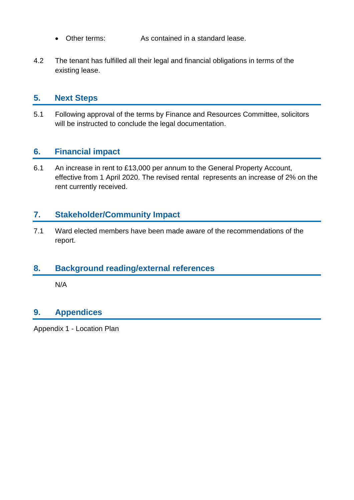- Other terms: As contained in a standard lease.
- 4.2 The tenant has fulfilled all their legal and financial obligations in terms of the existing lease.

### **5. Next Steps**

5.1 Following approval of the terms by Finance and Resources Committee, solicitors will be instructed to conclude the legal documentation.

# **6. Financial impact**

6.1 An increase in rent to £13,000 per annum to the General Property Account, effective from 1 April 2020. The revised rental represents an increase of 2% on the rent currently received.

# **7. Stakeholder/Community Impact**

7.1 Ward elected members have been made aware of the recommendations of the report.

# **8. Background reading/external references**

N/A

# **9. Appendices**

Appendix 1 - Location Plan